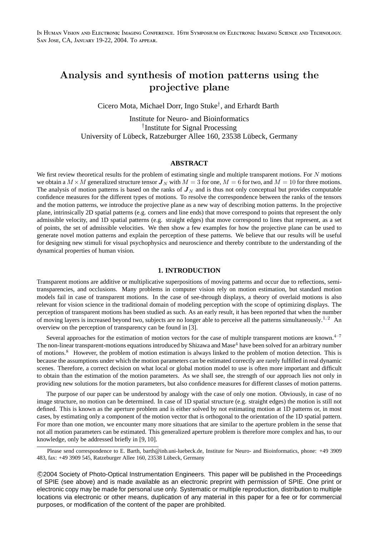IN HUMAN VISION AND ELECTRONIC IMAGING CONFERENCE. 16TH SYMPOSIUM ON ELECTRONIC IMAGING SCIENCE AND TECHNOLOGY. SAN JOSE, CA, JANUARY 19-22, 2004. TO APPEAR.

# Analysis and synthesis of motion patterns using the projective plane

Cicero Mota, Michael Dorr, Ingo Stuke† , and Erhardt Barth

Institute for Neuro- and Bioinformatics † Institute for Signal Processing University of Lübeck, Ratzeburger Allee 160, 23538 Lübeck, Germany

# **ABSTRACT**

We first review theoretical results for the problem of estimating single and multiple transparent motions. For N motions we obtain a  $M \times M$  generalized structure tensor  $J_N$  with  $M = 3$  for one,  $M = 6$  for two, and  $M = 10$  for three motions. The analysis of motion patterns is based on the ranks of  $J<sub>N</sub>$  and is thus not only conceptual but provides computable confidence measures for the different types of motions. To resolve the correspondence between the ranks of the tensors and the motion patterns, we introduce the projective plane as a new way of describing motion patterns. In the projective plane, intrinsically 2D spatial patterns (e.g. corners and line ends) that move correspond to points that represent the only admissible velocity, and 1D spatial patterns (e.g. straight edges) that move correspond to lines that represent, as a set of points, the set of admissible velocities. We then show a few examples for how the projective plane can be used to generate novel motion patterns and explain the perception of these patterns. We believe that our results will be useful for designing new stimuli for visual psychophysics and neuroscience and thereby contribute to the understanding of the dynamical properties of human vision.

#### **1. INTRODUCTION**

Transparent motions are additive or multiplicative superpositions of moving patterns and occur due to reflections, semitransparencies, and occlusions. Many problems in computer vision rely on motion estimation, but standard motion models fail in case of transparent motions. In the case of see-through displays, a theory of overlaid motions is also relevant for vision science in the traditional domain of modeling perception with the scope of optimizing displays. The perception of transparent motions has been studied as such. As an early result, it has been reported that when the number of moving layers is increased beyond two, subjects are no longer able to perceive all the patterns simultaneously.<sup>1, 2</sup> An overview on the perception of transparency can be found in [3].

Several approaches for the estimation of motion vectors for the case of multiple transparent motions are known. $4-7$ The non-linear transparent-motions equations introduced by Shizawa and Mase $4$  have been solved for an arbitrary number of motions.<sup>8</sup> However, the problem of motion estimation is always linked to the problem of motion detection. This is because the assumptions under which the motion parameters can be estimated correctly are rarely fulfilled in real dynamic scenes. Therefore, a correct decision on what local or global motion model to use is often more important and difficult to obtain than the estimation of the motion parameters. As we shall see, the strength of our approach lies not only in providing new solutions for the motion parameters, but also confidence measures for different classes of motion patterns.

The purpose of our paper can be understood by analogy with the case of only one motion. Obviously, in case of no image structure, no motion can be determined. In case of 1D spatial structure (e.g. straight edges) the motion is still not defined. This is known as the aperture problem and is either solved by not estimating motion at 1D patterns or, in most cases, by estimating only a component of the motion vector that is orthogonal to the orientation of the 1D spatial pattern. For more than one motion, we encounter many more situations that are similar to the aperture problem in the sense that not all motion parameters can be estimated. This generalized aperture problem is therefore more complex and has, to our knowledge, only be addressed briefly in [9, 10].

Please send correspondence to E. Barth, barth@inb.uni-luebeck.de, Institute for Neuro- and Bioinformatics, phone: +49 3909 483, fax: +49 3909 545, Ratzeburger Allee 160, 23538 Lübeck, Germany

c 2004 Society of Photo-Optical Instrumentation Engineers. This paper will be published in the Proceedings of SPIE (see above) and is made available as an electronic preprint with permission of SPIE. One print or electronic copy may be made for personal use only. Systematic or multiple reproduction, distribution to multiple locations via electronic or other means, duplication of any material in this paper for a fee or for commercial purposes, or modification of the content of the paper are prohibited.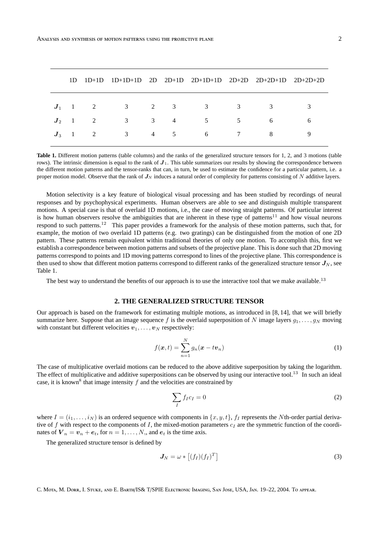|  |                                      |  | $1D \quad 1D+1D \quad 1D+1D+1D \quad 2D \quad 2D+1D \quad 2D+1D+1D \quad 2D+2D \quad 2D+2D+1D \quad 2D+2D+2D$ |                               |                                   |  |
|--|--------------------------------------|--|---------------------------------------------------------------------------------------------------------------|-------------------------------|-----------------------------------|--|
|  | $J_1$ 1 2 3 2 3<br>$J_3$ 1 2 3 4 5 6 |  | 3 3<br>$J_2$ 1 2 3 3 4 5                                                                                      | $5^{\circ}$<br>$\overline{7}$ | $\overline{\mathbf{3}}$<br>6<br>8 |  |

**Table 1.** Different motion patterns (table columns) and the ranks of the generalized structure tensors for 1, 2, and 3 motions (table rows). The intrinsic dimension is equal to the rank of  $J_1$ . This table summarizes our results by showing the correspondence between the different motion patterns and the tensor-ranks that can, in turn, be used to estimate the confidence for a particular pattern, i.e. a proper motion model. Observe that the rank of  $J_N$  induces a natural order of complexity for patterns consisting of N additive layers.

Motion selectivity is a key feature of biological visual processing and has been studied by recordings of neural responses and by psychophysical experiments. Human observers are able to see and distinguish multiple transparent motions. A special case is that of overlaid 1D motions, i.e., the case of moving straight patterns. Of particular interest is how human observers resolve the ambiguities that are inherent in these type of patterns<sup>11</sup> and how visual neurons respond to such patterns.<sup>12</sup> This paper provides a framework for the analysis of these motion patterns, such that, for example, the motion of two overlaid 1D patterns (e.g. two gratings) can be distinguished from the motion of one 2D pattern. These patterns remain equivalent within traditional theories of only one motion. To accomplish this, first we establish a correspondence between motion patterns and subsets of the projective plane. This is done such that 2D moving patterns correspond to points and 1D moving patterns correspond to lines of the projective plane. This correspondence is then used to show that different motion patterns correspond to different ranks of the generalized structure tensor  $J_N$ , see Table 1.

The best way to understand the benefits of our approach is to use the interactive tool that we make available.<sup>13</sup>

# **2. THE GENERALIZED STRUCTURE TENSOR**

Our approach is based on the framework for estimating multiple motions, as introduced in [8, 14], that we will briefly summarize here. Suppose that an image sequence f is the overlaid superposition of N image layers  $q_1, \ldots, q_N$  moving with constant but different velocities  $v_1, \ldots, v_N$  respectively:

$$
f(\boldsymbol{x},t) = \sum_{n=1}^{N} g_n(\boldsymbol{x} - t\boldsymbol{v}_n)
$$
\n(1)

The case of multiplicative overlaid motions can be reduced to the above additive superposition by taking the logarithm. The effect of multiplicative and additive superpositions can be observed by using our interactive tool.<sup>13</sup> In such an ideal case, it is known<sup>8</sup> that image intensity  $f$  and the velocities are constrained by

$$
\sum_{I} f_{I}c_{I} = 0 \tag{2}
$$

where  $I = (i_1, \ldots, i_N)$  is an ordered sequence with components in  $\{x, y, t\}$ ,  $f_I$  represents the Nth-order partial derivative of f with respect to the components of I, the mixed-motion parameters  $c_I$  are the symmetric function of the coordinates of  $V_n = v_n + e_t$ , for  $n = 1, ..., N$ , and  $e_t$  is the time axis.

The generalized structure tensor is defined by

$$
J_N = \omega * [(f_I)(f_I)^T]
$$
\n(3)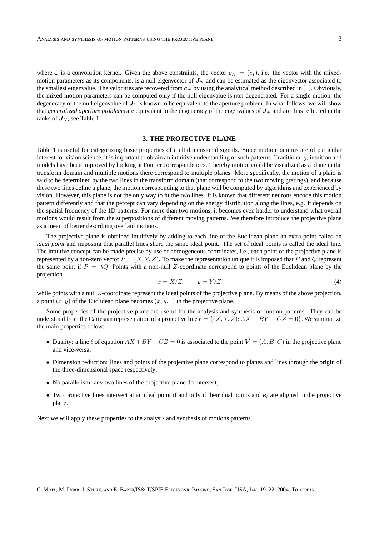where  $\omega$  is a convolution kernel. Given the above constraints, the vector  $c_N = (c_I)$ , i.e. the vector with the mixedmotion parameters as its components, is a null eigenvector of  $J<sub>N</sub>$  and can be estimated as the eigenvector associated to the smallest eigenvalue. The velocities are recovered from  $c_N$  by using the analytical method described in [8]. Obviously, the mixed-motion parameters can be computed only if the null eigenvalue is non-degenerated. For a single motion, the degeneracy of the null eigenvalue of  $J_1$  is known to be equivalent to the aperture problem. In what follows, we will show that *generalized aperture problems* are equivalent to the degeneracy of the eigenvalues of  $J<sub>N</sub>$  and are thus reflected in the ranks of  $J_N$ , see Table 1.

# **3. THE PROJECTIVE PLANE**

Table 1 is useful for categorizing basic properties of multidimensional signals. Since motion patterns are of particular interest for vision science, it is important to obtain an intuitive understanding of such patterns. Traditionally, intuition and models have been improved by looking at Fourier correspondences. Thereby motion could be visualized as a plane in the transform domain and multiple motions there correspond to multiple planes. More specifically, the motion of a plaid is said to be determined by the two lines in the transform domain (that correspond to the two moving gratings), and because these two lines define a plane, the motion corresponding to that plane will be computed by algorithms and experienced by vision. However, this plane is not the only way to fit the two lines. It is known that different neurons encode this motion pattern differently and that the percept can vary depending on the energy distribution along the lines, e.g. it depends on the spatial frequency of the 1D patterns. For more than two motions, it becomes even harder to understand what overall motions would result from the superpositions of different moving patterns. We therefore introduce the projective plane as a mean of better describing overlaid motions.

The projective plane is obtained intuitively by adding to each line of the Euclidean plane an extra point called an *ideal point* and imposing that parallel lines share the same ideal point. The set of ideal points is called the ideal line. The intuitive concept can be made precise by use of homogeneous coordinates, i.e., each point of the projective plane is represented by a non-zero vector  $P = (X, Y, Z)$ . To make the representation unique it is imposed that P and Q represent the same point if  $P = \lambda Q$ . Points with a non-null Z-coordinate correspond to points of the Euclidean plane by the projection

$$
x = X/Z, \qquad y = Y/Z \tag{4}
$$

while points with a null  $Z$ -coordinate represent the ideal points of the projective plane. By means of the above projection, a point  $(x, y)$  of the Euclidean plane becomes  $(x, y, 1)$  in the projective plane.

Some properties of the projective plane are useful for the analysis and synthesis of motion patterns. They can be understood from the Cartesian representation of a projective line  $\ell = \{(X, Y, Z); AX + BY + CZ = 0\}$ . We summarize the main properties below:

- Duality: a line  $\ell$  of equation  $AX + BY + CZ = 0$  is associated to the point  $V = (A, B, C)$  in the projective plane and vice-versa;
- Dimension reduction: lines and points of the projective plane correspond to planes and lines through the origin of the three-dimensional space respectively;
- No parallelism: any two lines of the projective plane do intersect;
- Two projective lines intersect at an ideal point if and only if their dual points and  $e_t$  are aligned in the projective plane.

Next we will apply these properties to the analysis and synthesis of motions patterns.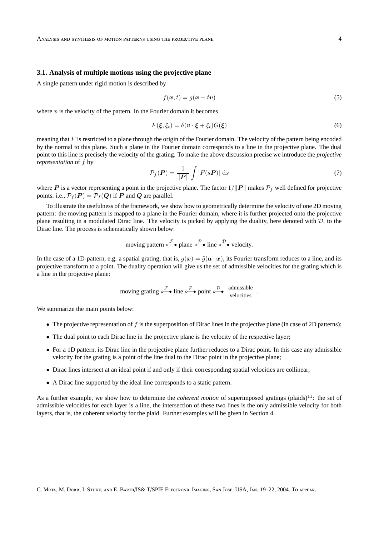#### **3.1. Analysis of multiple motions using the projective plane**

A single pattern under rigid motion is described by

$$
f(\boldsymbol{x},t) = g(\boldsymbol{x} - t\boldsymbol{v})\tag{5}
$$

where  $v$  is the velocity of the pattern. In the Fourier domain it becomes

$$
F(\xi, \xi_t) = \delta(\mathbf{v} \cdot \xi + \xi_t) G(\xi)
$$
\n(6)

meaning that  $F$  is restricted to a plane through the origin of the Fourier domain. The velocity of the pattern being encoded by the normal to this plane. Such a plane in the Fourier domain corresponds to a line in the projective plane. The dual point to this line is precisely the velocity of the grating. To make the above discussion precise we introduce the *projective representation* of f by

$$
\mathcal{P}_f(\boldsymbol{P}) = \frac{1}{\|\boldsymbol{P}\|} \int |F(s\boldsymbol{P})| \, \mathrm{d}s \tag{7}
$$

where P is a vector representing a point in the projective plane. The factor  $1/||P||$  makes  $P_f$  well defined for projective points. i.e.,  $\mathcal{P}_f(P) = \mathcal{P}_f(Q)$  if P and Q are parallel.

To illustrate the usefulness of the framework, we show how to geometrically determine the velocity of one 2D moving pattern: the moving pattern is mapped to a plane in the Fourier domain, where it is further projected onto the projective plane resulting in a modulated Dirac line. The velocity is picked by applying the duality, here denoted with  $D$ , to the Dirac line. The process is schematically shown below:

moving pattern 
$$
\circ \mathcal{F} \bullet
$$
 plane  $\circ \mathcal{P} \bullet$  line  $\circ \mathcal{D} \bullet$  velocity.

In the case of a 1D-pattern, e.g. a spatial grating, that is,  $q(x) = \tilde{q}(a \cdot x)$ , its Fourier transform reduces to a line, and its projective transform to a point. The duality operation will give us the set of admissible velocities for the grating which is a line in the projective plane:

moving grating 
$$
\circ \xrightarrow{\mathcal{F}}
$$
 line  $\circ \xrightarrow{\mathcal{P}}$  point  $\circ \xrightarrow{\mathcal{D}}$  admissible velocities.

We summarize the main points below:

- The projective representation of  $f$  is the superposition of Dirac lines in the projective plane (in case of 2D patterns);
- The dual point to each Dirac line in the projective plane is the velocity of the respective layer;
- For a 1D pattern, its Dirac line in the projective plane further reduces to a Dirac point. In this case any admissible velocity for the grating is a point of the line dual to the Dirac point in the projective plane;
- Dirac lines intersect at an ideal point if and only if their corresponding spatial velocities are collinear;
- A Dirac line supported by the ideal line corresponds to a static pattern.

As a further example, we show how to determine the *coherent motion* of superimposed gratings (plaids)<sup>11</sup>: the set of admissible velocities for each layer is a line, the intersection of these two lines is the only admissible velocity for both layers, that is, the coherent velocity for the plaid. Further examples will be given in Section 4.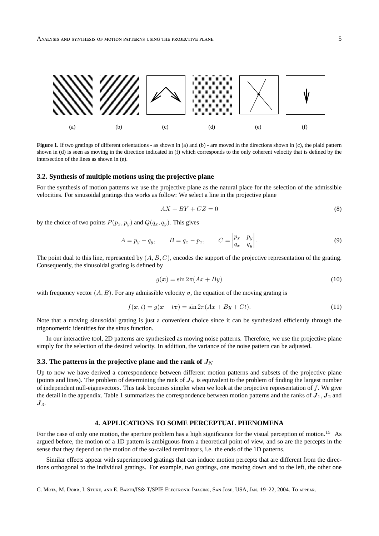

**Figure 1.** If two gratings of different orientations - as shown in (a) and (b) - are moved in the directions shown in (c), the plaid pattern shown in (d) is seen as moving in the direction indicated in (f) which corresponds to the only coherent velocity that is defined by the intersection of the lines as shown in (e).

#### **3.2. Synthesis of multiple motions using the projective plane**

For the synthesis of motion patterns we use the projective plane as the natural place for the selection of the admissible velocities. For sinusoidal gratings this works as follow: We select a line in the projective plane

$$
AX + BY + CZ = 0\tag{8}
$$

by the choice of two points  $P(p_x, p_y)$  and  $Q(q_x, q_y)$ . This gives

$$
A = p_y - q_y, \qquad B = q_x - p_x, \qquad C = \begin{vmatrix} p_x & p_y \\ q_x & q_y \end{vmatrix}.
$$
 (9)

The point dual to this line, represented by  $(A, B, C)$ , encodes the support of the projective representation of the grating. Consequently, the sinusoidal grating is defined by

$$
g(x) = \sin 2\pi (Ax + By) \tag{10}
$$

with frequency vector  $(A, B)$ . For any admissible velocity v, the equation of the moving grating is

$$
f(x,t) = g(x - tv) = \sin 2\pi (Ax + By + Ct).
$$
 (11)

Note that a moving sinusoidal grating is just a convenient choice since it can be synthesized efficiently through the trigonometric identities for the sinus function.

In our interactive tool, 2D patterns are synthesized as moving noise patterns. Therefore, we use the projective plane simply for the selection of the desired velocity. In addition, the variance of the noise pattern can be adjusted.

# **3.3.** The patterns in the projective plane and the rank of  $J_N$

Up to now we have derived a correspondence between different motion patterns and subsets of the projective plane (points and lines). The problem of determining the rank of  $J<sub>N</sub>$  is equivalent to the problem of finding the largest number of independent null-eigenvectors. This task becomes simpler when we look at the projective representation of  $f$ . We give the detail in the appendix. Table 1 summarizes the correspondence between motion patterns and the ranks of  $J_1, J_2$  and  $\boldsymbol{J}_3$ .

# **4. APPLICATIONS TO SOME PERCEPTUAL PHENOMENA**

For the case of only one motion, the aperture problem has a high significance for the visual perception of motion.<sup>15</sup> As argued before, the motion of a 1D pattern is ambiguous from a theoretical point of view, and so are the percepts in the sense that they depend on the motion of the so-called terminators, i.e. the ends of the 1D patterns.

Similar effects appear with superimposed gratings that can induce motion percepts that are different from the directions orthogonal to the individual gratings. For example, two gratings, one moving down and to the left, the other one

C. MOTA, M. DORR, I. STUKE, AND E. BARTH/IS& T/SPIE ELECTRONIC IMAGING, SAN JOSE, USA, JAN. 19–22, 2004. TO APPEAR.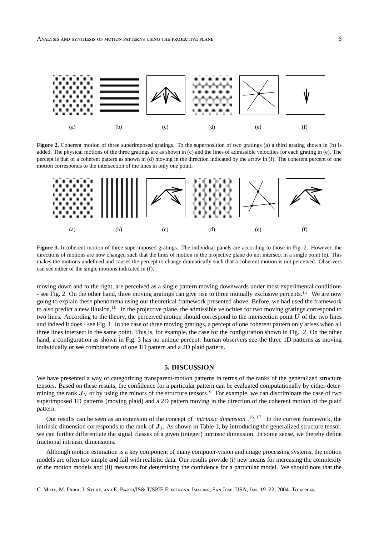

**Figure 2.** Coherent motion of three superimposed gratings. To the superposition of two gratings (a) a third grating shown in (b) is added. The physical motions of the three gratings are as shown in (c) and the lines of admissible velocities for each grating in (e). The percept is that of a coherent pattern as shown in (d) moving in the direction indicated by the arrow in (f). The coherent percept of one motion corresponds to the intersection of the lines in only one point.



**Figure 3.** Incoherent motion of three superimposed gratings. The individual panels are according to those in Fig. 2. However, the directions of motions are now changed such that the lines of motion in the projective plane do not intersect in a single point (e). This makes the motions undefined and causes the percept to change dramatically such that a coherent motion is not perceived. Observers can see either of the single motions indicated in (f).

moving down and to the right, are perceived as a single pattern moving downwards under most experimental conditions - see Fig. 2. On the other hand, three moving gratings can give rise to three mutually exclusive percepts.<sup>11</sup> We are now going to explain these phenomena using our theoretical framework presented above. Before, we had used the framework to also predict a new illusion.<sup>10</sup> In the projective plane, the admissible velocities for two moving gratings correspond to two lines. According to the theory, the perceived motion should correspond to the intersection point  $U$  of the two lines and indeed it does - see Fig. 1. In the case of three moving gratings, a percept of one coherent pattern only arises when all three lines intersect in the same point. This is, for example, the case for the configuration shown in Fig. 2. On the other hand, a configuration as shown in Fig. 3 has no unique percept: human observers see the three 1D patterns as moving individually or see combinations of one 1D pattern and a 2D plaid pattern.

#### **5. DISCUSSION**

We have presented a way of categorizing transparent-motion patterns in terms of the ranks of the generalized structure tensors. Based on these results, the confidence for a particular pattern can be evaluated computationally by either determining the rank  $J_N$  or by using the minors of the structure tensors.<sup>8</sup> For example, we can discriminate the case of two superimposed 1D patterns (moving plaid) and a 2D pattern moving in the direction of the coherent motion of the plaid pattern.

Our results can be seen as an extension of the concept of *intrinsic dimension* . 16, 17 In the current framework, the intrinsic dimension corresponds to the rank of  $J_1$ . As shown in Table 1, by introducing the generalized structure tensor, we can further differentiate the signal classes of a given (integer) intrinsic dimension. In some sense, we thereby define fractional intrinsic dimensions.

Although motion estimation is a key component of many computer-vision and image processing systems, the motion models are often too simple and fail with realistic data. Our results provide (i) new means for increasing the complexity of the motion models and (ii) measures for determining the confidence for a particular model. We should note that the

C. MOTA, M. DORR, I. STUKE, AND E. BARTH/IS& T/SPIE ELECTRONIC IMAGING, SAN JOSE, USA, JAN. 19–22, 2004. TO APPEAR.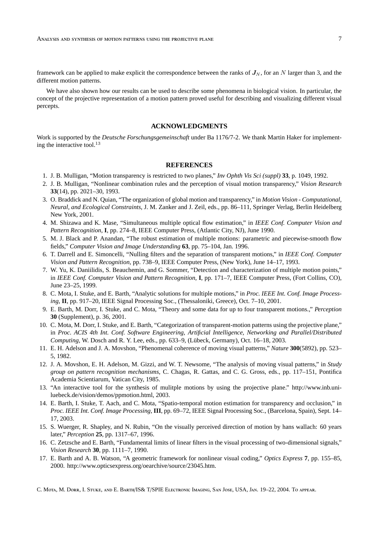framework can be applied to make explicit the correspondence between the ranks of  $J<sub>N</sub>$ , for an N larger than 3, and the different motion patterns.

We have also shown how our results can be used to describe some phenomena in biological vision. In particular, the concept of the projective representation of a motion pattern proved useful for describing and visualizing different visual percepts.

# **ACKNOWLEDGMENTS**

Work is supported by the *Deutsche Forschungsgemeinschaft* under Ba 1176/7-2. We thank Martin Haker for implementing the interactive tool. $^{13}$ 

# **REFERENCES**

- 1. J. B. Mulligan, "Motion transparency is restricted to two planes," *Inv Ophth Vis Sci (suppl)* **33**, p. 1049, 1992.
- 2. J. B. Mulligan, "Nonlinear combination rules and the perception of visual motion transparency," *Vision Research* **33**(14), pp. 2021–30, 1993.
- 3. O. Braddick and N. Quian, "The organization of global motion and transparency," in *Motion Vision Computational, Neural, and Ecological Constraints*, J. M. Zanker and J. Zeil, eds., pp. 86–111, Springer Verlag, Berlin Heidelberg New York, 2001.
- 4. M. Shizawa and K. Mase, "Simultaneous multiple optical flow estimation," in *IEEE Conf. Computer Vision and Pattern Recognition*, **I**, pp. 274–8, IEEE Computer Press, (Atlantic City, NJ), June 1990.
- 5. M. J. Black and P. Anandan, "The robust estimation of multiple motions: parametric and piecewise-smooth flow fields," *Computer Vision and Image Understanding* **63**, pp. 75–104, Jan. 1996.
- 6. T. Darrell and E. Simoncelli, "Nulling filters and the separation of transparent motions," in *IEEE Conf. Computer Vision and Pattern Recognition*, pp. 738–9, IEEE Computer Press, (New York), June 14–17, 1993.
- 7. W. Yu, K. Daniilidis, S. Beauchemin, and G. Sommer, "Detection and characterization of multiple motion points," in *IEEE Conf. Computer Vision and Pattern Recognition*, **I**, pp. 171–7, IEEE Computer Press, (Fort Collins, CO), June 23–25, 1999.
- 8. C. Mota, I. Stuke, and E. Barth, "Analytic solutions for multiple motions," in *Proc. IEEE Int. Conf. Image Processing*, **II**, pp. 917–20, IEEE Signal Processing Soc., (Thessaloniki, Greece), Oct. 7–10, 2001.
- 9. E. Barth, M. Dorr, I. Stuke, and C. Mota, "Theory and some data for up to four transparent motions.," *Perception* **30** (Supplement), p. 36, 2001.
- 10. C. Mota, M. Dorr, I. Stuke, and E. Barth, "Categorization of transparent-motion patterns using the projective plane," in *Proc. ACIS 4th Int. Conf. Software Engineering, Artificial Intelligence, Networking and Parallel/Distributed Computing*, W. Dosch and R. Y. Lee, eds., pp. 633–9, (Lübeck, Germany), Oct. 16–18, 2003.
- 11. E. H. Adelson and J. A. Movshon, "Phenomenal coherence of moving visual patterns," *Nature* **300**(5892), pp. 523– 5, 1982.
- 12. J. A. Movshon, E. H. Adelson, M. Gizzi, and W. T. Newsome, "The analysis of moving visual patterns," in *Study group on pattern recognition mechanisms*, C. Chagas, R. Gattas, and C. G. Gross, eds., pp. 117–151, Pontifica Academia Scientiarum, Vatican City, 1985.
- 13. "An interactive tool for the synthesis of mulitple motions by using the projective plane." http://www.inb.uniluebeck.de/vision/demos/ppmotion.html, 2003.
- 14. E. Barth, I. Stuke, T. Aach, and C. Mota, "Spatio-temporal motion estimation for transparency and occlusion," in *Proc. IEEE Int. Conf. Image Processing*, **III**, pp. 69–72, IEEE Signal Processing Soc., (Barcelona, Spain), Sept. 14– 17, 2003.
- 15. S. Wuerger, R. Shapley, and N. Rubin, "On the visually perceived direction of motion by hans wallach: 60 years later," *Perception* **25**, pp. 1317–67, 1996.
- 16. C. Zetzsche and E. Barth, "Fundamental limits of linear filters in the visual processing of two-dimensional signals," *Vision Research* **30**, pp. 1111–7, 1990.
- 17. E. Barth and A. B. Watson, "A geometric framework for nonlinear visual coding," *Optics Express* **7**, pp. 155–85, 2000. http://www.opticsexpress.org/oearchive/source/23045.htm.

C. MOTA, M. DORR, I. STUKE, AND E. BARTH/IS& T/SPIE ELECTRONIC IMAGING, SAN JOSE, USA, JAN. 19–22, 2004. TO APPEAR.